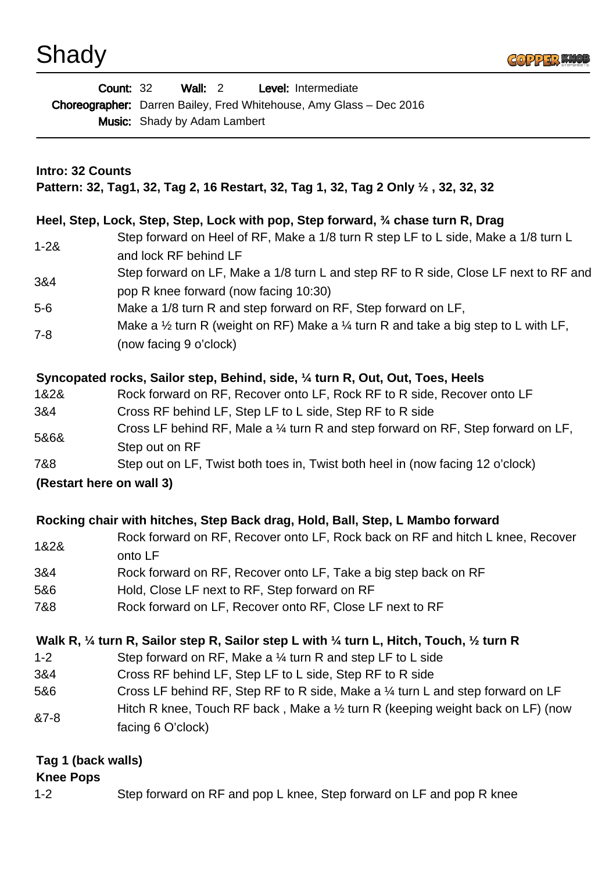## Shady



|                          | <b>Wall: 2</b><br>Level: Intermediate<br><b>Count: 32</b><br>Choreographer: Darren Bailey, Fred Whitehouse, Amy Glass - Dec 2016<br><b>Music:</b> Shady by Adam Lambert |
|--------------------------|-------------------------------------------------------------------------------------------------------------------------------------------------------------------------|
| <b>Intro: 32 Counts</b>  | Pattern: 32, Tag1, 32, Tag 2, 16 Restart, 32, Tag 1, 32, Tag 2 Only 1/2, 32, 32, 32                                                                                     |
|                          | Heel, Step, Lock, Step, Step, Lock with pop, Step forward, 34 chase turn R, Drag                                                                                        |
| $1 - 28$                 | Step forward on Heel of RF, Make a 1/8 turn R step LF to L side, Make a 1/8 turn L<br>and lock RF behind LF                                                             |
| 3&4                      | Step forward on LF, Make a 1/8 turn L and step RF to R side, Close LF next to RF and<br>pop R knee forward (now facing 10:30)                                           |
| $5-6$                    | Make a 1/8 turn R and step forward on RF, Step forward on LF,                                                                                                           |
| $7 - 8$                  | Make a $\frac{1}{2}$ turn R (weight on RF) Make a $\frac{1}{4}$ turn R and take a big step to L with LF,<br>(now facing 9 o'clock)                                      |
|                          | Syncopated rocks, Sailor step, Behind, side, 1/4 turn R, Out, Out, Toes, Heels                                                                                          |
| 1&2&                     | Rock forward on RF, Recover onto LF, Rock RF to R side, Recover onto LF                                                                                                 |
| 3&4                      | Cross RF behind LF, Step LF to L side, Step RF to R side                                                                                                                |
| 5&6&                     | Cross LF behind RF, Male a 1/4 turn R and step forward on RF, Step forward on LF,<br>Step out on RF                                                                     |
| 7&8                      | Step out on LF, Twist both toes in, Twist both heel in (now facing 12 o'clock)                                                                                          |
| (Restart here on wall 3) |                                                                                                                                                                         |
|                          | Rocking chair with hitches, Step Back drag, Hold, Ball, Step, L Mambo forward                                                                                           |
| 1&2&                     | Rock forward on RF, Recover onto LF, Rock back on RF and hitch L knee, Recover<br>onto LF                                                                               |
| 3&4                      | Rock forward on RF, Recover onto LF, Take a big step back on RF                                                                                                         |
| 5&6                      | Hold, Close LF next to RF, Step forward on RF                                                                                                                           |
| 7&8                      | Rock forward on LF, Recover onto RF, Close LF next to RF                                                                                                                |
|                          | Walk R, $\frac{1}{4}$ turn R, Sailor step R, Sailor step L with $\frac{1}{4}$ turn L, Hitch, Touch, $\frac{1}{2}$ turn R                                                |
| $1 - 2$                  | Step forward on RF, Make a $\frac{1}{4}$ turn R and step LF to L side                                                                                                   |
| 3&4                      | Cross RF behind LF, Step LF to L side, Step RF to R side                                                                                                                |
| 5&6                      | Cross LF behind RF, Step RF to R side, Make a 1/4 turn L and step forward on LF                                                                                         |
| &7-8                     | Hitch R knee, Touch RF back, Make a $\frac{1}{2}$ turn R (keeping weight back on LF) (now<br>facing 6 O'clock)                                                          |
| Tag 1 (back walls)       |                                                                                                                                                                         |

## **Knee Pops**

1-2 Step forward on RF and pop L knee, Step forward on LF and pop R knee